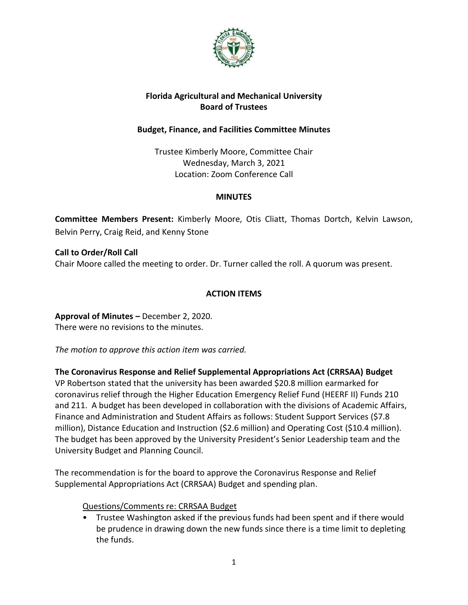

## **Florida Agricultural and Mechanical University Board of Trustees**

### **Budget, Finance, and Facilities Committee Minutes**

Trustee Kimberly Moore, Committee Chair Wednesday, March 3, 2021 Location: Zoom Conference Call

### **MINUTES**

**Committee Members Present:** Kimberly Moore, Otis Cliatt, Thomas Dortch, Kelvin Lawson, Belvin Perry, Craig Reid, and Kenny Stone

**Call to Order/Roll Call** Chair Moore called the meeting to order. Dr. Turner called the roll. A quorum was present.

## **ACTION ITEMS**

**Approval of Minutes –** December 2, 2020. There were no revisions to the minutes.

*The motion to approve this action item was carried.*

**The Coronavirus Response and Relief Supplemental Appropriations Act (CRRSAA) Budget** VP Robertson stated that the university has been awarded \$20.8 million earmarked for coronavirus relief through the Higher Education Emergency Relief Fund (HEERF II) Funds 210 and 211. A budget has been developed in collaboration with the divisions of Academic Affairs, Finance and Administration and Student Affairs as follows: Student Support Services (\$7.8 million), Distance Education and Instruction (\$2.6 million) and Operating Cost (\$10.4 million). The budget has been approved by the University President's Senior Leadership team and the University Budget and Planning Council.

The recommendation is for the board to approve the Coronavirus Response and Relief Supplemental Appropriations Act (CRRSAA) Budget and spending plan.

### Questions/Comments re: CRRSAA Budget

• Trustee Washington asked if the previous funds had been spent and if there would be prudence in drawing down the new funds since there is a time limit to depleting the funds.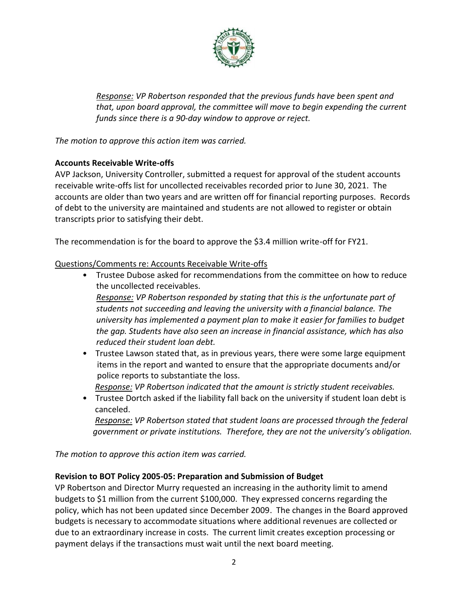

*Response: VP Robertson responded that the previous funds have been spent and that, upon board approval, the committee will move to begin expending the current funds since there is a 90-day window to approve or reject.*

*The motion to approve this action item was carried.*

## **Accounts Receivable Write-offs**

AVP Jackson, University Controller, submitted a request for approval of the student accounts receivable write-offs list for uncollected receivables recorded prior to June 30, 2021. The accounts are older than two years and are written off for financial reporting purposes. Records of debt to the university are maintained and students are not allowed to register or obtain transcripts prior to satisfying their debt.

The recommendation is for the board to approve the \$3.4 million write-off for FY21.

Questions/Comments re: Accounts Receivable Write-offs

- Trustee Dubose asked for recommendations from the committee on how to reduce the uncollected receivables. *Response: VP Robertson responded by stating that this is the unfortunate part of students not succeeding and leaving the university with a financial balance. The university has implemented a payment plan to make it easier for families to budget the gap. Students have also seen an increase in financial assistance, which has also reduced their student loan debt.*
- Trustee Lawson stated that, as in previous years, there were some large equipment items in the report and wanted to ensure that the appropriate documents and/or police reports to substantiate the loss.

*Response: VP Robertson indicated that the amount is strictly student receivables.*

• Trustee Dortch asked if the liability fall back on the university if student loan debt is canceled.

 *Response: VP Robertson stated that student loans are processed through the federal government or private institutions. Therefore, they are not the university's obligation.*

*The motion to approve this action item was carried.*

### **Revision to BOT Policy 2005-05: Preparation and Submission of Budget**

VP Robertson and Director Murry requested an increasing in the authority limit to amend budgets to \$1 million from the current \$100,000. They expressed concerns regarding the policy, which has not been updated since December 2009. The changes in the Board approved budgets is necessary to accommodate situations where additional revenues are collected or due to an extraordinary increase in costs. The current limit creates exception processing or payment delays if the transactions must wait until the next board meeting.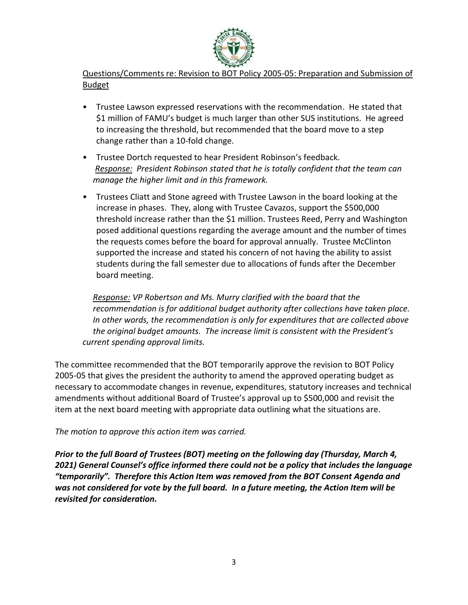

Questions/Comments re: Revision to BOT Policy 2005-05: Preparation and Submission of Budget

- Trustee Lawson expressed reservations with the recommendation. He stated that \$1 million of FAMU's budget is much larger than other SUS institutions. He agreed to increasing the threshold, but recommended that the board move to a step change rather than a 10-fold change.
- Trustee Dortch requested to hear President Robinson's feedback. *Response: President Robinson stated that he is totally confident that the team can manage the higher limit and in this framework.*
- Trustees Cliatt and Stone agreed with Trustee Lawson in the board looking at the increase in phases. They, along with Trustee Cavazos, support the \$500,000 threshold increase rather than the \$1 million. Trustees Reed, Perry and Washington posed additional questions regarding the average amount and the number of times the requests comes before the board for approval annually. Trustee McClinton supported the increase and stated his concern of not having the ability to assist students during the fall semester due to allocations of funds after the December board meeting.

 *Response: VP Robertson and Ms. Murry clarified with the board that the recommendation is for additional budget authority after collections have taken place. In other words, the recommendation is only for expenditures that are collected above the original budget amounts. The increase limit is consistent with the President's current spending approval limits.* 

The committee recommended that the BOT temporarily approve the revision to BOT Policy 2005-05 that gives the president the authority to amend the approved operating budget as necessary to accommodate changes in revenue, expenditures, statutory increases and technical amendments without additional Board of Trustee's approval up to \$500,000 and revisit the item at the next board meeting with appropriate data outlining what the situations are.

### *The motion to approve this action item was carried.*

*Prior to the full Board of Trustees (BOT) meeting on the following day (Thursday, March 4, 2021) General Counsel's office informed there could not be a policy that includes the language "temporarily". Therefore this Action Item was removed from the BOT Consent Agenda and was not considered for vote by the full board. In a future meeting, the Action Item will be revisited for consideration.*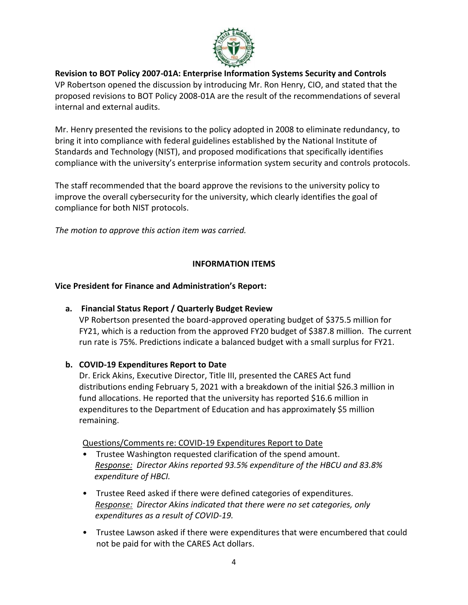

#### **Revision to BOT Policy 2007-01A: Enterprise Information Systems Security and Controls** VP Robertson opened the discussion by introducing Mr. Ron Henry, CIO, and stated that the proposed revisions to BOT Policy 2008-01A are the result of the recommendations of several internal and external audits.

Mr. Henry presented the revisions to the policy adopted in 2008 to eliminate redundancy, to bring it into compliance with federal guidelines established by the National Institute of Standards and Technology (NIST), and proposed modifications that specifically identifies compliance with the university's enterprise information system security and controls protocols.

The staff recommended that the board approve the revisions to the university policy to improve the overall cybersecurity for the university, which clearly identifies the goal of compliance for both NIST protocols.

*The motion to approve this action item was carried.*

# **INFORMATION ITEMS**

### **Vice President for Finance and Administration's Report:**

# **a. Financial Status Report / Quarterly Budget Review**

VP Robertson presented the board-approved operating budget of \$375.5 million for FY21, which is a reduction from the approved FY20 budget of \$387.8 million. The current run rate is 75%. Predictions indicate a balanced budget with a small surplus for FY21.

### **b. COVID-19 Expenditures Report to Date**

Dr. Erick Akins, Executive Director, Title III, presented the CARES Act fund distributions ending February 5, 2021 with a breakdown of the initial \$26.3 million in fund allocations. He reported that the university has reported \$16.6 million in expenditures to the Department of Education and has approximately \$5 million remaining.

### Questions/Comments re: COVID-19 Expenditures Report to Date

- Trustee Washington requested clarification of the spend amount. *Response: Director Akins reported 93.5% expenditure of the HBCU and 83.8% expenditure of HBCI.*
- Trustee Reed asked if there were defined categories of expenditures. *Response: Director Akins indicated that there were no set categories, only expenditures as a result of COVID-19.*
- Trustee Lawson asked if there were expenditures that were encumbered that could not be paid for with the CARES Act dollars.